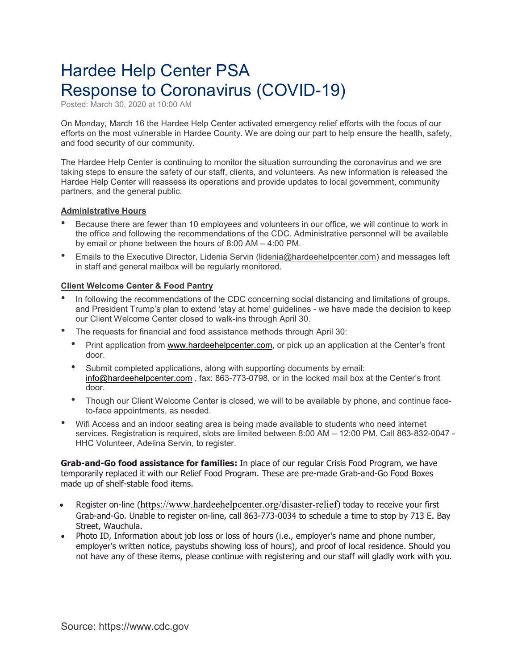# Hardee Help Center PSA Response to Coronavirus (COVID-19)

Posted: March 30, 2020 at 10:00 AM

On Monday, March 16 the Hardee Help Center activated emergency relief efforts with the focus of our efforts on the most vulnerable in Hardee County. We are doing our part to help ensure the health, safety, and food security of our community.

The Hardee Help Center is continuing to monitor the situation surrounding the coronavirus and we are taking steps to ensure the safety of our staff, clients, and volunteers. As new information is released the Hardee Help Center will reassess its operations and provide updates to local government, community partners, and the general public.

#### **Administrative Hours**

- Because there are fewer than <sup>10</sup> employees and volunteers in our office, we will continue to work in the office and following the recommendations of the CDC. Administrative personnel will be available by email or phone between the hours of 8:00 AM – 4:00 PM.
- Emails to the Executive Director, Lidenia Servin [\(lidenia@hardeehelpcenter.com\)](mailto:lidenia@hardeehelpcenter.com) and messages left in staff and general mailbox will be regularly monitored.

## **Client Welcome Center & Food Pantry**

- In following the recommendations of the CDC concerning social distancing and limitations of groups, and President Trump's plan to extend 'stay at home' guidelines - we have made the decision to keep our Client Welcome Center closed to walk-ins through April 30.
- The requests for financial and food assistance methods through April 30:
	- Print application from [www.hardeehelpcenter.com,](http://www.hardeehelpcenter.com/) or pick up an application at the Center's front door.
	- Submit completed applications, along with supporting documents by email: [info@hardeehelpcenter.com](mailto:info@hardeehelpcenter.com) , fax: 863-773-0798, or in the locked mail box at the Center's front door.
	- Though our Client Welcome Center is closed, we will to be available by phone, and continue faceto-face appointments, as needed.
- Wifi Access and an indoor seating area is being made available to students who need internet services. Registration is required, slots are limited between 8:00 AM – 12:00 PM. Call 863-832-0047 - HHC Volunteer, Adelina Servin, to register.

**Grab-and-Go food assistance for families:** In place of our regular Crisis Food Program, we have temporarily replaced it with our Relief Food Program. These are pre-made Grab-and-Go Food Boxes made up of shelf-stable food items.

- Register on-line ([https://www.hardeehelpcenter.org/disaster-relief\)](https://www.hardeehelpcenter.org/disaster-relief) today to receive your first Grab-and-Go. Unable to register on-line, call 863-773-0034 to schedule a time to stop by 713 E. Bay Street, Wauchula.
- Photo ID, Information about job loss or loss of hours (i.e., employer's name and phone number, employer's written notice, paystubs showing loss of hours), and proof of local residence. Should you not have any of these items, please continue with registering and our staff will gladly work with you.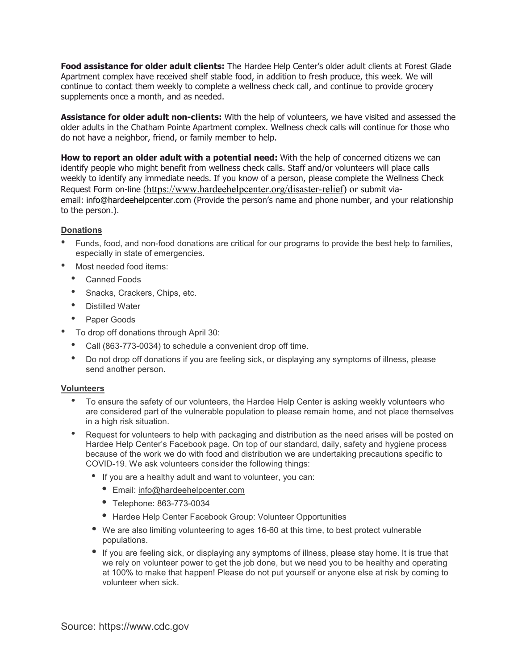**Food assistance for older adult clients:** The Hardee Help Center's older adult clients at Forest Glade Apartment complex have received shelf stable food, in addition to fresh produce, this week. We will continue to contact them weekly to complete a wellness check call, and continue to provide grocery supplements once a month, and as needed.

**Assistance for older adult non-clients:** With the help of volunteers, we have visited and assessed the older adults in the Chatham Pointe Apartment complex. Wellness check calls will continue for those who do not have a neighbor, friend, or family member to help.

**How to report an older adult with a potential need:** With the help of concerned citizens we can identify people who might benefit from wellness check calls. Staff and/or volunteers will place calls weekly to identify any immediate needs. If you know of a person, please complete the Wellness Check Request Form on-line ([https://www.hardeehelpcenter.org/disaster-relief\)](https://www.hardeehelpcenter.org/disaster-relief) or submit viaemail: [info@hardeehelpcenter.com](mailto:info@hardeehelpcenter.com?subject=Wellness%20Check%20Request%20Form%20-%20COVID-19) (Provide the person's name and phone number, and your relationship to the person.).

## **Donations**

- Funds, food, and non-food donations are critical for our programs to provide the best help to families, especially in state of emergencies.
- Most needed food items:
	- Canned Foods
	- Snacks, Crackers, Chips, etc.
	- Distilled Water
	- Paper Goods
	- To drop off donations through April 30:
	- Call (863-773-0034) to schedule <sup>a</sup> convenient drop off time.
	- Do not drop off donations if you are feeling sick, or displaying any symptoms of illness, please send another person.

#### **Volunteers**

- To ensure the safety of our volunteers, the Hardee Help Center is asking weekly volunteers who are considered part of the vulnerable population to please remain home, and not place themselves in a high risk situation.
- Request for volunteers to help with packaging and distribution as the need arises will be posted on Hardee Help Center's Facebook page. On top of our standard, daily, safety and hygiene process because of the work we do with food and distribution we are undertaking precautions specific to COVID-19. We ask volunteers consider the following things:
	- If you are <sup>a</sup> healthy adult and want to volunteer, you can:
		- *•* Email: [info@hardeehelpcenter.com](mailto:info@hardeehelpcenter.com)
		- *•* Telephone: 863-773-0034
		- *•* Hardee Help Center Facebook Group: Volunteer Opportunities
	- *•* We are also limiting volunteering to ages 16-60 at this time, to best protect vulnerable populations.
	- *•* If you are feeling sick, or displaying any symptoms of illness, please stay home. It is true that we rely on volunteer power to get the job done, but we need you to be healthy and operating at 100% to make that happen! Please do not put yourself or anyone else at risk by coming to volunteer when sick.